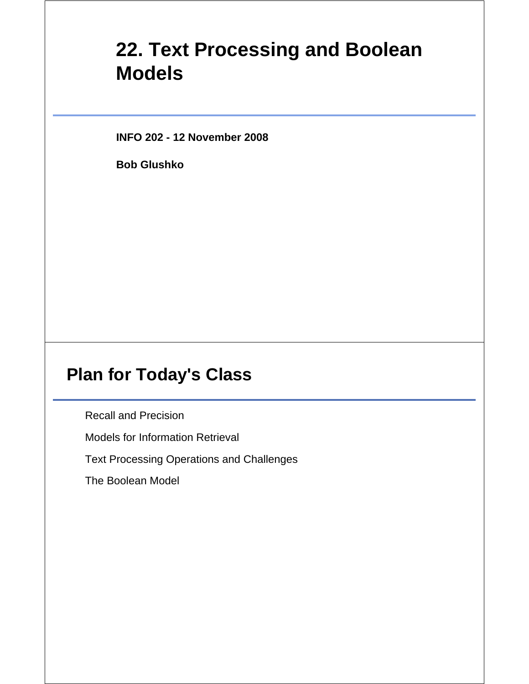# **22. Text Processing and Boolean Models**

**INFO 202 - 12 November 2008**

**Bob Glushko**

### **Plan for Today's Class**

Recall and Precision

Models for Information Retrieval

Text Processing Operations and Challenges

The Boolean Model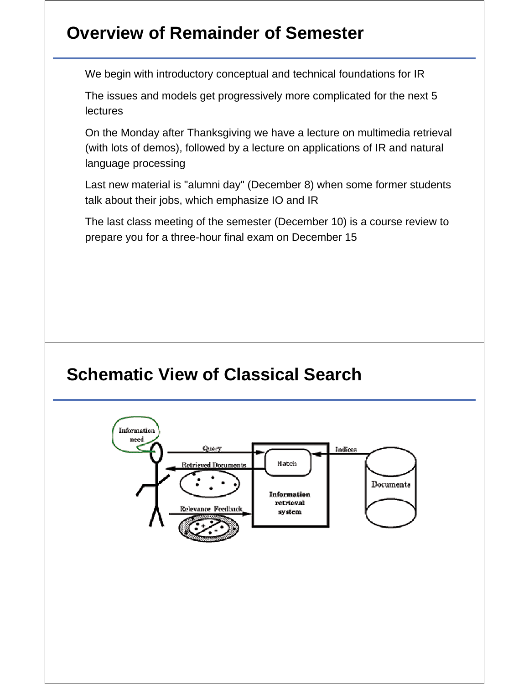## **Overview of Remainder of Semester**

We begin with introductory conceptual and technical foundations for IR

The issues and models get progressively more complicated for the next 5 lectures

On the Monday after Thanksgiving we have a lecture on multimedia retrieval (with lots of demos), followed by a lecture on applications of IR and natural language processing

Last new material is "alumni day" (December 8) when some former students talk about their jobs, which emphasize IO and IR

The last class meeting of the semester (December 10) is a course review to prepare you for a three-hour final exam on December 15

### **Schematic View of Classical Search**

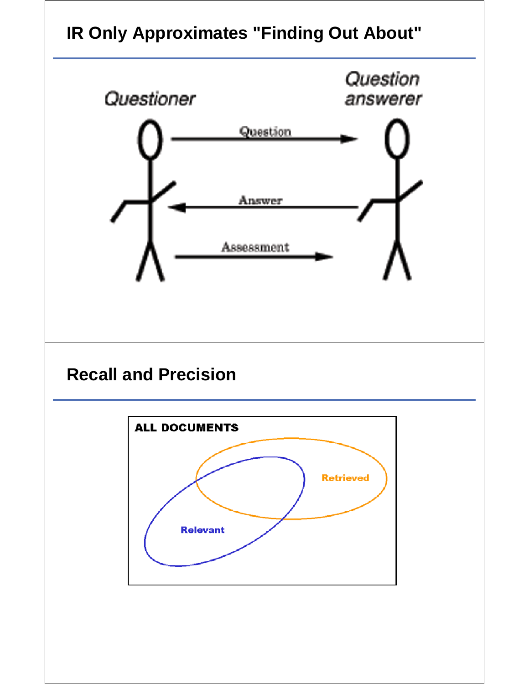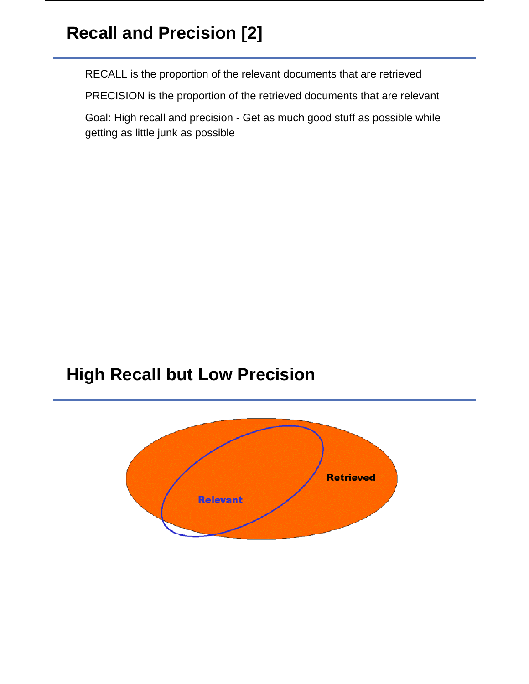# **Recall and Precision [2]**

RECALL is the proportion of the relevant documents that are retrieved

PRECISION is the proportion of the retrieved documents that are relevant

Goal: High recall and precision - Get as much good stuff as possible while getting as little junk as possible

## **High Recall but Low Precision**

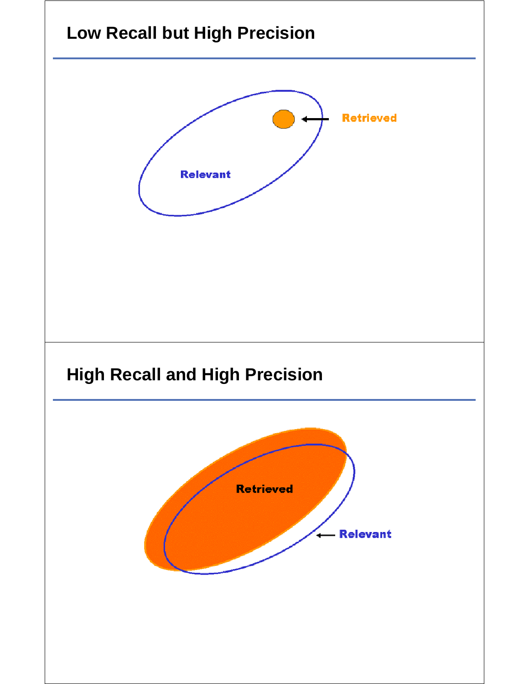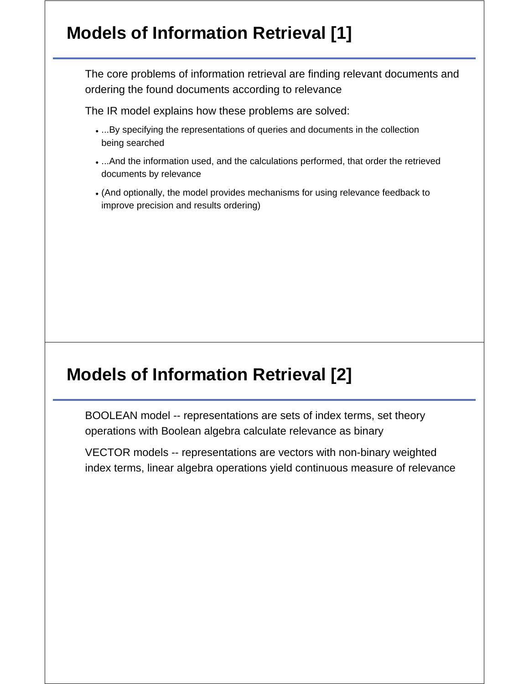# **Models of Information Retrieval [1]**

The core problems of information retrieval are finding relevant documents and ordering the found documents according to relevance

The IR model explains how these problems are solved:

- ...By specifying the representations of queries and documents in the collection being searched
- ...And the information used, and the calculations performed, that order the retrieved documents by relevance
- (And optionally, the model provides mechanisms for using relevance feedback to improve precision and results ordering)

### **Models of Information Retrieval [2]**

BOOLEAN model -- representations are sets of index terms, set theory operations with Boolean algebra calculate relevance as binary

VECTOR models -- representations are vectors with non-binary weighted index terms, linear algebra operations yield continuous measure of relevance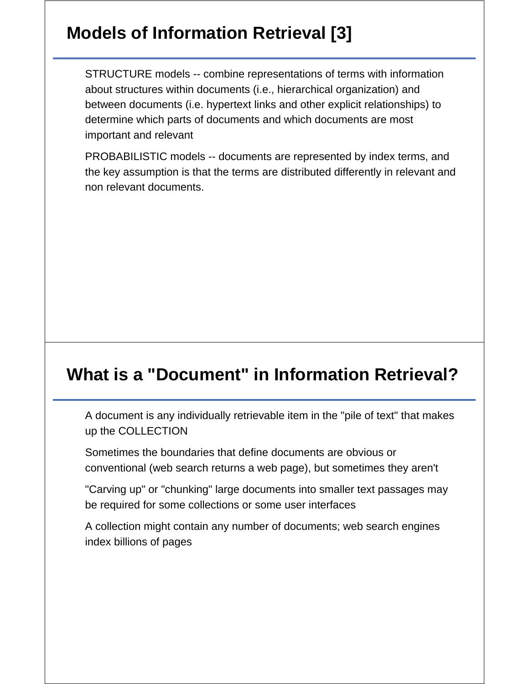# **Models of Information Retrieval [3]**

STRUCTURE models -- combine representations of terms with information about structures within documents (i.e., hierarchical organization) and between documents (i.e. hypertext links and other explicit relationships) to determine which parts of documents and which documents are most important and relevant

PROBABILISTIC models -- documents are represented by index terms, and the key assumption is that the terms are distributed differently in relevant and non relevant documents.

### **What is a "Document" in Information Retrieval?**

A document is any individually retrievable item in the "pile of text" that makes up the COLLECTION

Sometimes the boundaries that define documents are obvious or conventional (web search returns a web page), but sometimes they aren't

"Carving up" or "chunking" large documents into smaller text passages may be required for some collections or some user interfaces

A collection might contain any number of documents; web search engines index billions of pages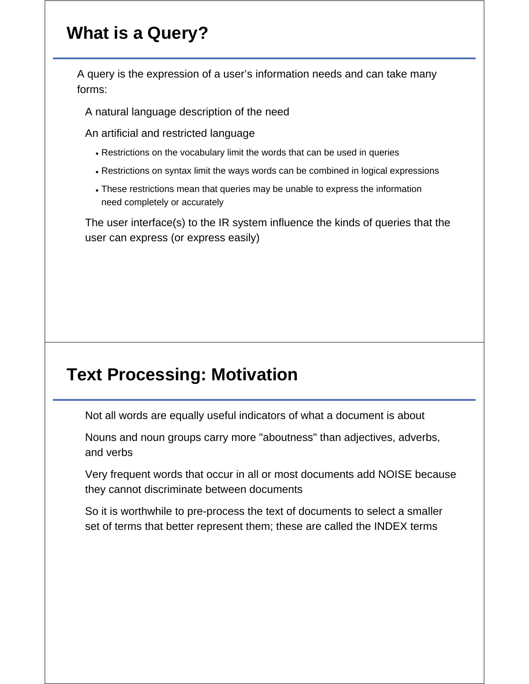# **What is a Query?**

A query is the expression of a user's information needs and can take many forms:

A natural language description of the need

An artificial and restricted language

- Restrictions on the vocabulary limit the words that can be used in queries
- Restrictions on syntax limit the ways words can be combined in logical expressions
- These restrictions mean that queries may be unable to express the information need completely or accurately

The user interface(s) to the IR system influence the kinds of queries that the user can express (or express easily)

## **Text Processing: Motivation**

Not all words are equally useful indicators of what a document is about

Nouns and noun groups carry more "aboutness" than adjectives, adverbs, and verbs

Very frequent words that occur in all or most documents add NOISE because they cannot discriminate between documents

So it is worthwhile to pre-process the text of documents to select a smaller set of terms that better represent them; these are called the INDEX terms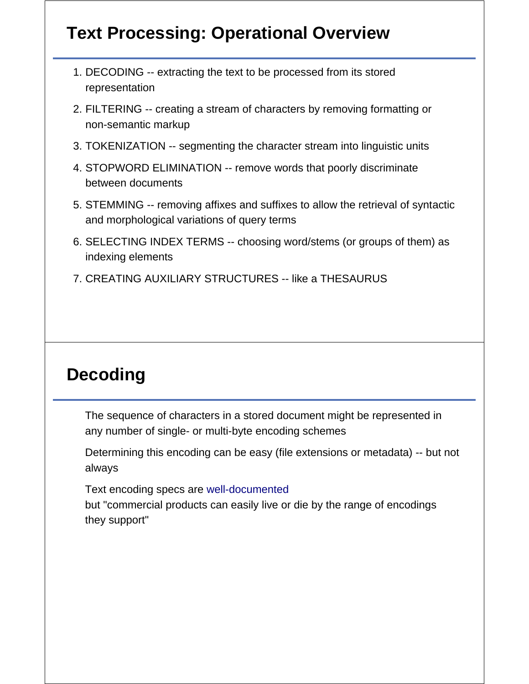# **Text Processing: Operational Overview**

- DECODING -- extracting the text to be processed from its stored 1. representation
- FILTERING -- creating a stream of characters by removing formatting or 2. non-semantic markup
- 3. TOKENIZATION -- segmenting the character stream into linguistic units
- 4. STOPWORD ELIMINATION -- remove words that poorly discriminate between documents
- STEMMING -- removing affixes and suffixes to allow the retrieval of syntactic 5. and morphological variations of query terms
- 6. SELECTING INDEX TERMS -- choosing word/stems (or groups of them) as indexing elements
- 7. CREATING AUXILIARY STRUCTURES -- like a THESAURUS

### **Decoding**

The sequence of characters in a stored document might be represented in any number of single- or multi-byte encoding schemes

Determining this encoding can be easy (file extensions or metadata) -- but not always

Text encoding specs are well-documented but "commercial products can easily live or die by the range of encodings they support"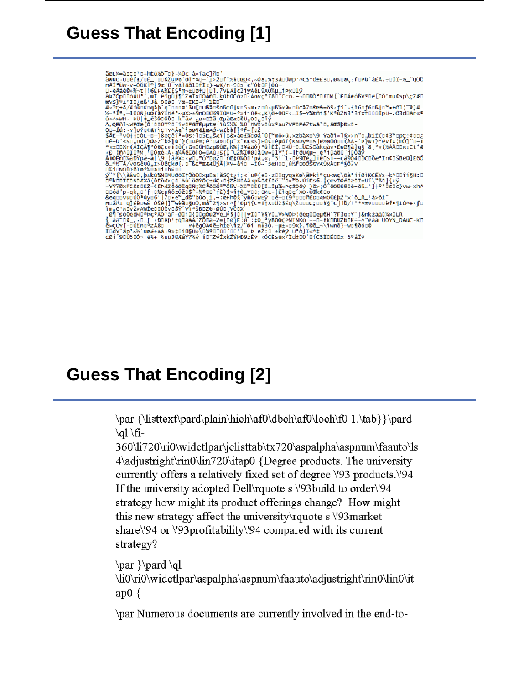aoux=accord-heixo-b}-x0c axiacind<br>
awwo.ude[£/de\_dDAZube'όi\*xq-iix2of'%Ydgo«,-δ8;%t3ádüvp'^c\$\*ό±£30,α%d8ç?fdPù'á£A.÷düï-%\_'qöð<br>
nÄI\*üw-v=δUkle}9æ'ű[yàläð1df1c)-xWK/n-95s e'őktF}óú-<br>
nÄI\*üw-v=δUkle}9æ'ű[yàläð1df1c)-xWK/n-5%;ox/dehime/skiasi5bend<br>
εν \* \*\\δaw, pektomonoget/0δουχμυs!äsctzi;«`u@(e0-zυραγαsκæ\äÞkiªçukwc\öàªii0iκcEYs-k^o0ii§H:0<br>
γ\* \*\\δaw, pektomonoget/0δουχμυs!äsctzi;«`u@(e0-zυραγαsκæ\äÞkiªçukwc\öàªii0iκcEYs-k^o0ii§H:0<br>
-Y

## **Guess That Encoding [2]**

\par {\listtext\pard\plain\hich\af0\dbch\af0\loch\f0 1.\tab}}\pard \al \fi-

360\li720\ri0\widetlpar\jclisttab\tx720\aspalpha\aspnum\faauto\ls 4\adjustright\rin0\lin720\itap0 {Degree products. The university currently offers a relatively fixed set of degree \'93 products.\'94 If the university adopted Dell' ratio s \'93build to order \'94 strategy how might its product offerings change? How might this new strategy affect the university rquote s \'93market share\'94 or \'93profitability\'94 compared with its current strategy?

 $\par{\bar{\}pard\ql}$ \li0\ri0\widctlpar\aspalpha\aspnum\faauto\adjustright\rin0\lin0\it ap $0 \{$ 

\par Numerous documents are currently involved in the end-to-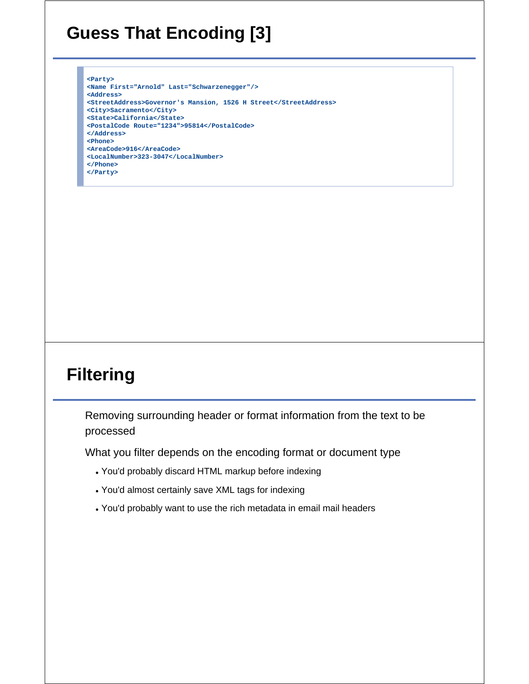# **Guess That Encoding [3]**

**<Party>**

**<Name First="Arnold" Last="Schwarzenegger"/> <Address> <StreetAddress>Governor's Mansion, 1526 H Street</StreetAddress> <City>Sacramento</City> <State>California</State> <PostalCode Route="1234">95814</PostalCode> </Address> <Phone> <AreaCode>916</AreaCode> <LocalNumber>323-3047</LocalNumber> </Phone> </Party>**

# **Filtering**

Removing surrounding header or format information from the text to be processed

What you filter depends on the encoding format or document type

- You'd probably discard HTML markup before indexing
- You'd almost certainly save XML tags for indexing
- You'd probably want to use the rich metadata in email mail headers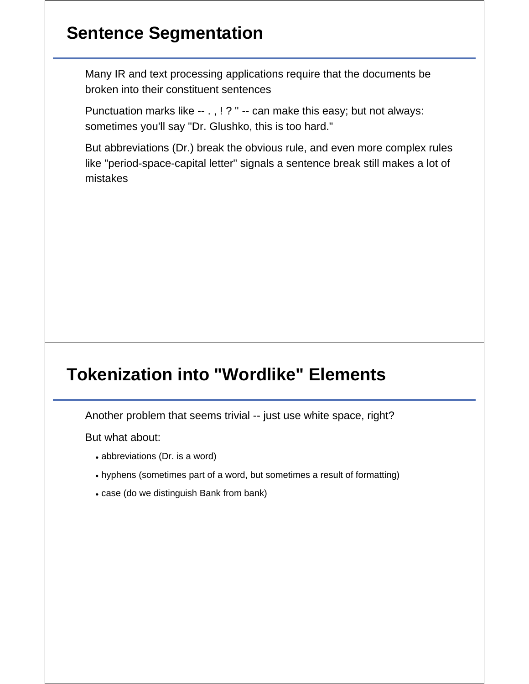## **Sentence Segmentation**

Many IR and text processing applications require that the documents be broken into their constituent sentences

Punctuation marks like -- . , ! ? " -- can make this easy; but not always: sometimes you'll say "Dr. Glushko, this is too hard."

But abbreviations (Dr.) break the obvious rule, and even more complex rules like "period-space-capital letter" signals a sentence break still makes a lot of mistakes

## **Tokenization into "Wordlike" Elements**

Another problem that seems trivial -- just use white space, right?

But what about:

- abbreviations (Dr. is a word)
- hyphens (sometimes part of a word, but sometimes a result of formatting)
- case (do we distinguish Bank from bank)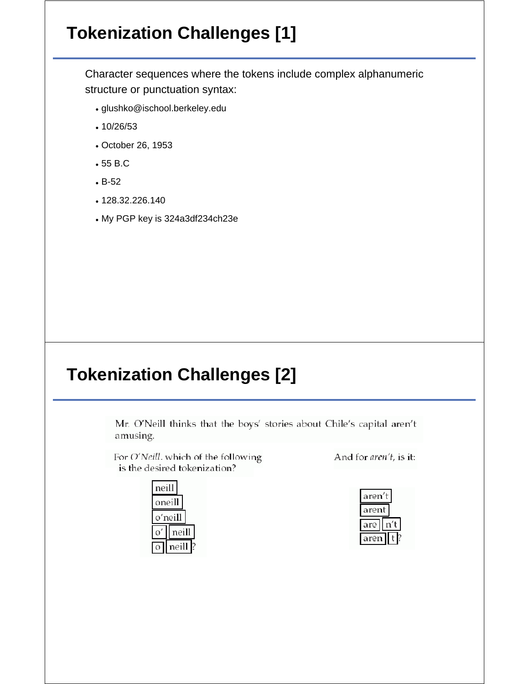# **Tokenization Challenges [1]**

Character sequences where the tokens include complex alphanumeric structure or punctuation syntax:

- glushko@ischool.berkeley.edu
- 10/26/53
- October 26, 1953
- 55 B.C
- B-52
- 128.32.226.140
- My PGP key is 324a3df234ch23e

### **Tokenization Challenges [2]**

Mr. O'Neill thinks that the boys' stories about Chile's capital aren't amusing.

For O'Neill. which of the following is the desired tokenization?



And for aren't, is it:

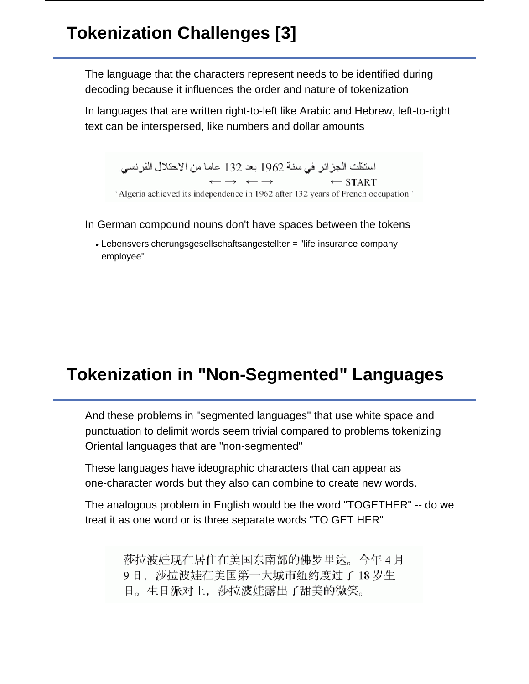# **Tokenization Challenges [3]**

The language that the characters represent needs to be identified during decoding because it influences the order and nature of tokenization

In languages that are written right-to-left like Arabic and Hebrew, left-to-right text can be interspersed, like numbers and dollar amounts

استقلت الجزائر في سنة 1962 بعد 132 عاما من الاحتلال الفرنسي.  $\longleftrightarrow$   $\longleftrightarrow$  $\leftarrow$  START

'Algeria achieved its independence in 1962 after 132 years of French occupation.'

In German compound nouns don't have spaces between the tokens

Lebensversicherungsgesellschaftsangestellter = "life insurance company employee"

### **Tokenization in "Non-Segmented" Languages**

And these problems in "segmented languages" that use white space and punctuation to delimit words seem trivial compared to problems tokenizing Oriental languages that are "non-segmented"

These languages have ideographic characters that can appear as one-character words but they also can combine to create new words.

The analogous problem in English would be the word "TOGETHER" -- do we treat it as one word or is three separate words "TO GET HER"

> 莎拉波娃现在居住在美国东南部的佛罗里达。今年4月 9日, 莎拉波娃在美国第一大城市纽约度过了18岁生 日。生日派对上, 莎拉波娃露出了甜美的微笑。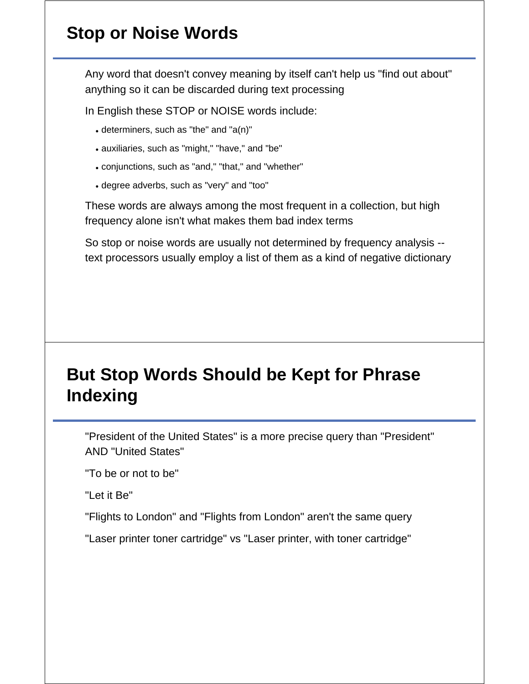# **Stop or Noise Words**

Any word that doesn't convey meaning by itself can't help us "find out about" anything so it can be discarded during text processing

In English these STOP or NOISE words include:

- determiners, such as "the" and "a(n)"
- auxiliaries, such as "might," "have," and "be"
- conjunctions, such as "and," "that," and "whether"
- degree adverbs, such as "very" and "too"

These words are always among the most frequent in a collection, but high frequency alone isn't what makes them bad index terms

So stop or noise words are usually not determined by frequency analysis - text processors usually employ a list of them as a kind of negative dictionary

# **But Stop Words Should be Kept for Phrase Indexing**

"President of the United States" is a more precise query than "President" AND "United States"

"To be or not to be"

"Let it Be"

"Flights to London" and "Flights from London" aren't the same query

"Laser printer toner cartridge" vs "Laser printer, with toner cartridge"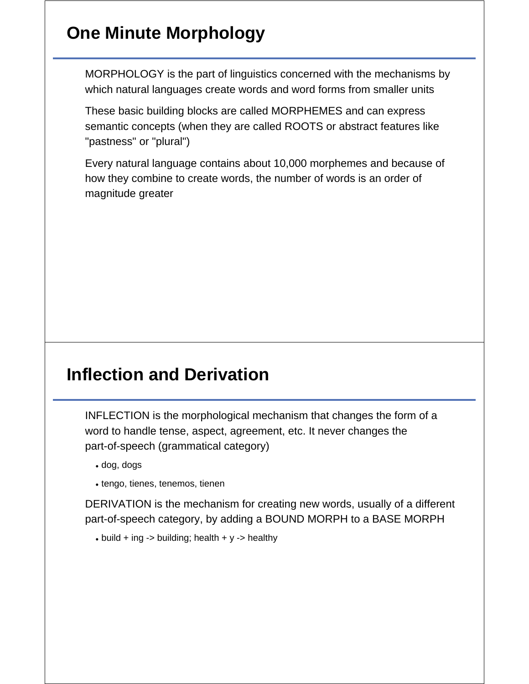## **One Minute Morphology**

MORPHOLOGY is the part of linguistics concerned with the mechanisms by which natural languages create words and word forms from smaller units

These basic building blocks are called MORPHEMES and can express semantic concepts (when they are called ROOTS or abstract features like "pastness" or "plural")

Every natural language contains about 10,000 morphemes and because of how they combine to create words, the number of words is an order of magnitude greater

### **Inflection and Derivation**

INFLECTION is the morphological mechanism that changes the form of a word to handle tense, aspect, agreement, etc. It never changes the part-of-speech (grammatical category)

- dog, dogs
- tengo, tienes, tenemos, tienen

DERIVATION is the mechanism for creating new words, usually of a different part-of-speech category, by adding a BOUND MORPH to a BASE MORPH

 $\bullet$  build + ing -> building; health + y -> healthy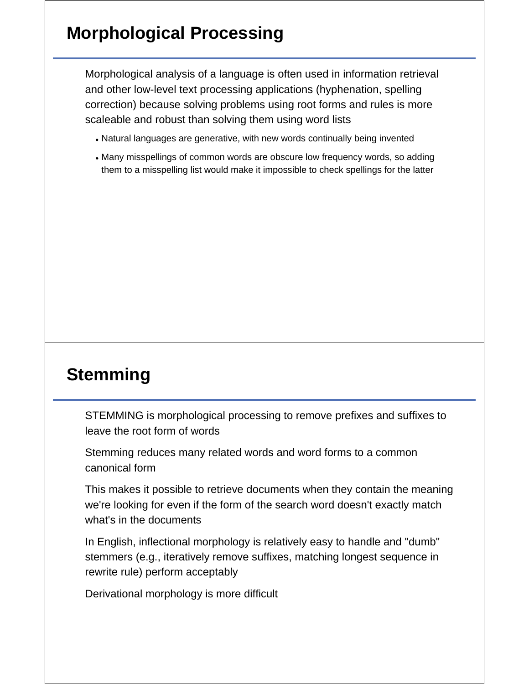## **Morphological Processing**

Morphological analysis of a language is often used in information retrieval and other low-level text processing applications (hyphenation, spelling correction) because solving problems using root forms and rules is more scaleable and robust than solving them using word lists

- Natural languages are generative, with new words continually being invented
- Many misspellings of common words are obscure low frequency words, so adding them to a misspelling list would make it impossible to check spellings for the latter

## **Stemming**

STEMMING is morphological processing to remove prefixes and suffixes to leave the root form of words

Stemming reduces many related words and word forms to a common canonical form

This makes it possible to retrieve documents when they contain the meaning we're looking for even if the form of the search word doesn't exactly match what's in the documents

In English, inflectional morphology is relatively easy to handle and "dumb" stemmers (e.g., iteratively remove suffixes, matching longest sequence in rewrite rule) perform acceptably

Derivational morphology is more difficult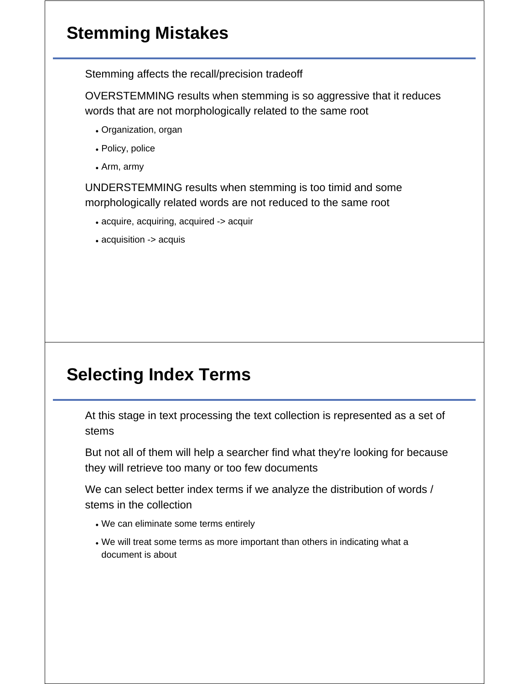# **Stemming Mistakes**

Stemming affects the recall/precision tradeoff

OVERSTEMMING results when stemming is so aggressive that it reduces words that are not morphologically related to the same root

- Organization, organ
- Policy, police
- Arm, army

UNDERSTEMMING results when stemming is too timid and some morphologically related words are not reduced to the same root

- acquire, acquiring, acquired -> acquir
- acquisition -> acquis

## **Selecting Index Terms**

At this stage in text processing the text collection is represented as a set of stems

But not all of them will help a searcher find what they're looking for because they will retrieve too many or too few documents

We can select better index terms if we analyze the distribution of words / stems in the collection

- We can eliminate some terms entirely
- We will treat some terms as more important than others in indicating what a document is about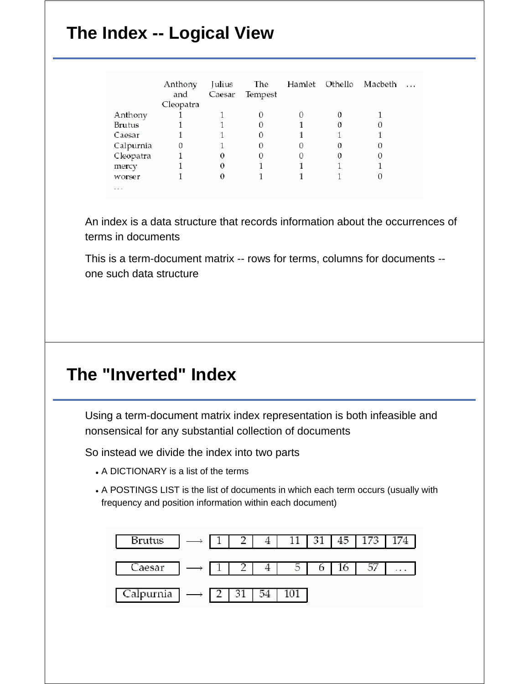# **The Index -- Logical View**

|           | Anthony<br>and | Julius<br>Caesar | The<br>Tempest |        | Hamlet Othello | Macbeth | $\cdots$ |
|-----------|----------------|------------------|----------------|--------|----------------|---------|----------|
|           | Cleopatra      |                  |                |        |                |         |          |
| Anthony   |                |                  | 0              |        |                |         |          |
| Brutus    |                |                  | $\Omega$       |        |                |         |          |
| Caesar    |                |                  | 0              |        |                |         |          |
| Calpurnia | 0              |                  | $\Omega$       | $\Box$ | 0              | O       |          |
| Cleopatra |                |                  | 0              | O      |                |         |          |
| mercy     |                | 0                |                |        |                |         |          |
| worser    |                | 0                |                |        |                |         |          |
| .         |                |                  |                |        |                |         |          |

An index is a data structure that records information about the occurrences of terms in documents

This is a term-document matrix -- rows for terms, columns for documents - one such data structure

#### **The "Inverted" Index**

Using a term-document matrix index representation is both infeasible and nonsensical for any substantial collection of documents

So instead we divide the index into two parts

- A DICTIONARY is a list of the terms
- A POSTINGS LIST is the list of documents in which each term occurs (usually with frequency and position information within each document)

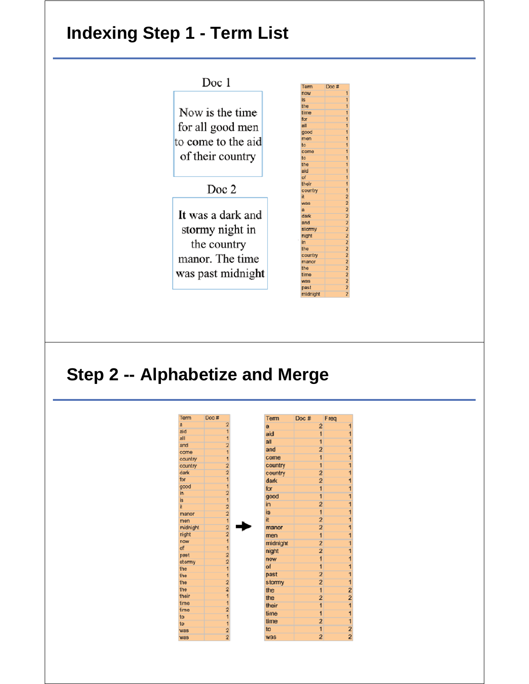## **Indexing Step 1 - Term List**



#### **Step 2 -- Alphabetize and Merge**

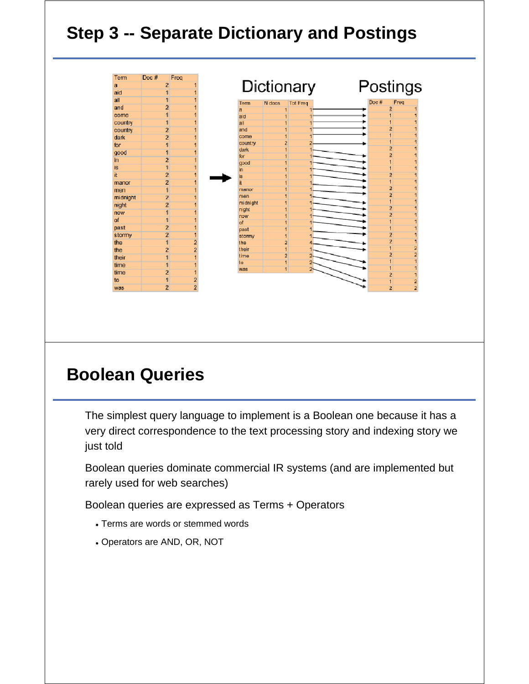# **Step 3 -- Separate Dictionary and Postings**

| Term      | Doc # | Freq           |  |
|-----------|-------|----------------|--|
| a         |       | 2              |  |
| aid       |       |                |  |
| all       |       |                |  |
| and       |       | 2              |  |
| come      |       |                |  |
| country   |       |                |  |
| country   |       | $\overline{2}$ |  |
| dark      |       | $\overline{2}$ |  |
| for       |       |                |  |
| good      |       |                |  |
| in.       |       | $\overline{2}$ |  |
| <b>is</b> |       |                |  |
| it        |       | $\overline{2}$ |  |
| manor     |       | $\overline{2}$ |  |
| men       |       |                |  |
| midnight  |       | $\overline{2}$ |  |
| night     |       | $\overline{2}$ |  |
| now       |       |                |  |
| of        |       |                |  |
| past      |       | $\overline{2}$ |  |
| stormy    |       | $\mathbf{2}$   |  |
| the       |       |                |  |
| the       |       | $\overline{2}$ |  |
| their     |       |                |  |
| time      |       |                |  |
| time      |       | Ż              |  |
| to        |       |                |  |
| was.      |       | $\overline{2}$ |  |

## **Boolean Queries**

The simplest query language to implement is a Boolean one because it has a very direct correspondence to the text processing story and indexing story we just told

Boolean queries dominate commercial IR systems (and are implemented but rarely used for web searches)

Boolean queries are expressed as Terms + Operators

- Terms are words or stemmed words
- Operators are AND, OR, NOT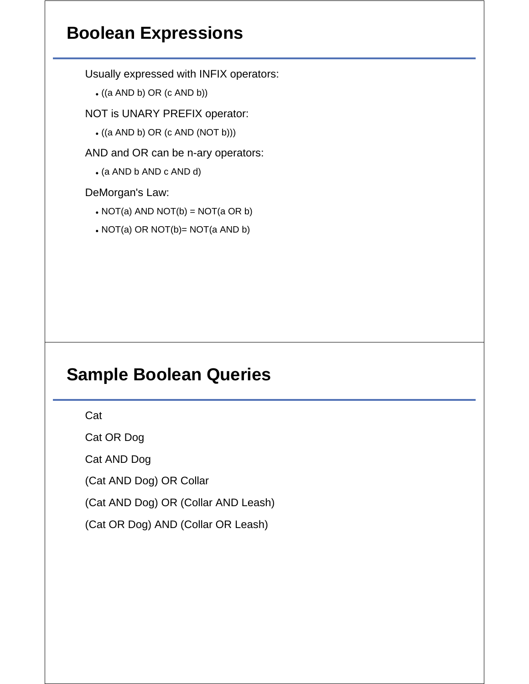## **Boolean Expressions**

Usually expressed with INFIX operators:

 $\bullet$  ((a AND b) OR (c AND b))

NOT is UNARY PREFIX operator:

 $\bullet$  ((a AND b) OR (c AND (NOT b)))

AND and OR can be n-ary operators:

(a AND b AND c AND d)

DeMorgan's Law:

- $\bullet$  NOT(a) AND NOT(b) = NOT(a OR b)
- NOT(a) OR NOT(b)= NOT(a AND b)

### **Sample Boolean Queries**

Cat

Cat OR Dog

Cat AND Dog

(Cat AND Dog) OR Collar

(Cat AND Dog) OR (Collar AND Leash)

(Cat OR Dog) AND (Collar OR Leash)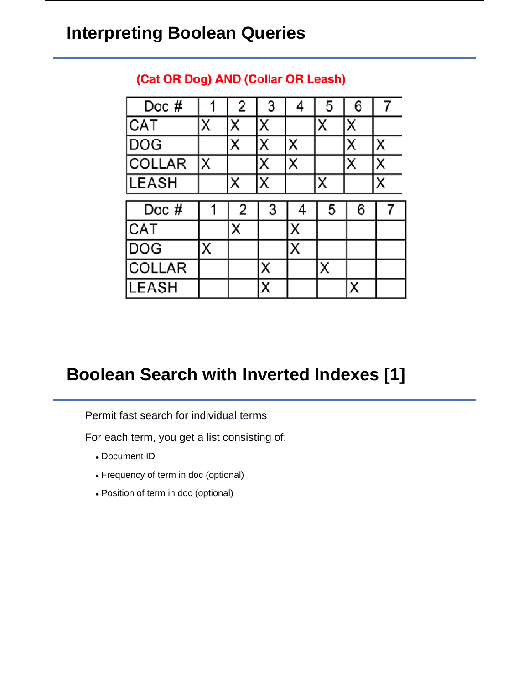## **Interpreting Boolean Queries**

| Doc $#$       |   | 2 | 3 | 4 | 5 | 6 |   |
|---------------|---|---|---|---|---|---|---|
| CAT           | X | Х | Χ |   | X | Χ |   |
| <b>DOG</b>    |   | Χ | Χ | Χ |   | Χ | Χ |
| <b>COLLAR</b> | Χ |   | Х | Χ |   | Х | x |
| <b>LEASH</b>  |   | Χ | Χ |   | Χ |   | X |
|               |   |   |   |   |   |   |   |
| Doc $#$       |   | 2 | 3 |   | 5 | 6 |   |
| CAT           |   | X |   | х |   |   |   |
| <b>DOG</b>    | Χ |   |   | Х |   |   |   |
| <b>COLLAR</b> |   |   |   |   | x |   |   |

#### (Cat OR Dog) AND (Collar OR Leash)

### **Boolean Search with Inverted Indexes [1]**

Permit fast search for individual terms

For each term, you get a list consisting of:

- Document ID
- Frequency of term in doc (optional)
- Position of term in doc (optional)